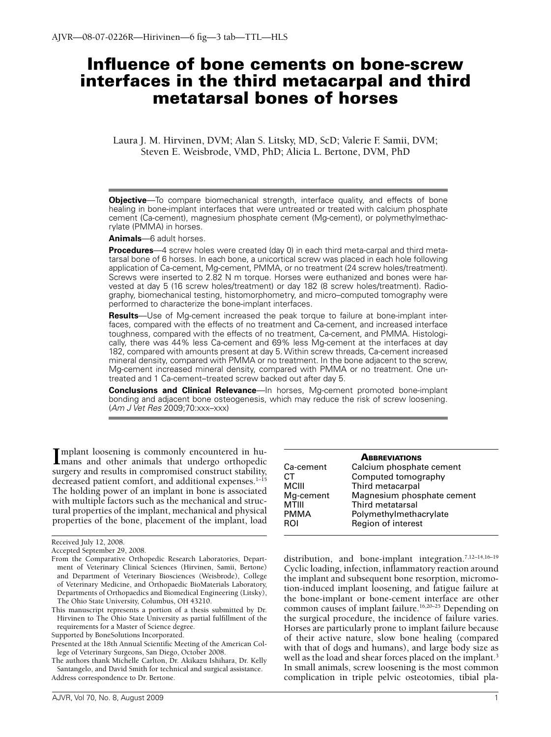# Influence of bone cements on bone-screw interfaces in the third metacarpal and third metatarsal bones of horses

Laura J. M. Hirvinen, DVM; Alan S. Litsky, MD, ScD; Valerie F. Samii, DVM; Steven E. Weisbrode, VMD, PhD; Alicia L. Bertone, DVM, PhD

**Objective**—To compare biomechanical strength, interface quality, and effects of bone healing in bone-implant interfaces that were untreated or treated with calcium phosphate cement (Ca-cement), magnesium phosphate cement (Mg-cement), or polymethylmethacrylate (PMMA) in horses.

**Animals**—6 adult horses.

**Procedures**—4 screw holes were created (day 0) in each third meta-carpal and third metatarsal bone of 6 horses. In each bone, a unicortical screw was placed in each hole following application of Ca-cement, Mg-cement, PMMA, or no treatment (24 screw holes/treatment). Screws were inserted to 2.82 N m torque. Horses were euthanized and bones were harvested at day 5 (16 screw holes/treatment) or day 182 (8 screw holes/treatment). Radiography, biomechanical testing, histomorphometry, and micro–computed tomography were performed to characterize the bone-implant interfaces.

**Results**—Use of Mg-cement increased the peak torque to failure at bone-implant interfaces, compared with the effects of no treatment and Ca-cement, and increased interface toughness, compared with the effects of no treatment, Ca-cement, and PMMA. Histologically, there was 44% less Ca-cement and 69% less Mg-cement at the interfaces at day 182, compared with amounts present at day 5. Within screw threads, Ca-cement increased mineral density, compared with PMMA or no treatment. In the bone adjacent to the screw, Mg-cement increased mineral density, compared with PMMA or no treatment. One untreated and 1 Ca-cement–treated screw backed out after day 5.

**Conclusions and Clinical Relevance**—In horses, Mg-cement promoted bone-implant bonding and adjacent bone osteogenesis, which may reduce the risk of screw loosening. (*Am J Vet Res* 2009;70:xxx–xxx)

Implant loosening is commonly encountered in hu-<br>Imans and other animals that undergo orthopedic mplant loosening is commonly encountered in husurgery and results in compromised construct stability, decreased patient comfort, and additional expenses.<sup>1-15</sup> The holding power of an implant in bone is associated with multiple factors such as the mechanical and structural properties of the implant, mechanical and physical properties of the bone, placement of the implant, load

Supported by BoneSolutions Incorporated.

| <b>ABBREVIATIONS</b> |                            |  |  |  |
|----------------------|----------------------------|--|--|--|
| Ca-cement            | Calcium phosphate cement   |  |  |  |
| CT.                  | Computed tomography        |  |  |  |
| <b>MCIII</b>         | Third metacarpal           |  |  |  |
| Mg-cement            | Magnesium phosphate cement |  |  |  |
| <b>MTIII</b>         | Third metatarsal           |  |  |  |
| <b>PMMA</b>          | Polymethylmethacrylate     |  |  |  |
| ROI                  | Region of interest         |  |  |  |
|                      |                            |  |  |  |

distribution, and bone-implant integration.<sup>7,12-14,16-19</sup> Cyclic loading, infection, inflammatory reaction around the implant and subsequent bone resorption, micromotion-induced implant loosening, and fatigue failure at the bone-implant or bone-cement interface are other common causes of implant failure.16,20–25 Depending on the surgical procedure, the incidence of failure varies. Horses are particularly prone to implant failure because of their active nature, slow bone healing (compared with that of dogs and humans), and large body size as well as the load and shear forces placed on the implant.<sup>3</sup> In small animals, screw loosening is the most common complication in triple pelvic osteotomies, tibial pla-

Received July 12, 2008.

Accepted September 29, 2008.

From the Comparative Orthopedic Research Laboratories, Department of Veterinary Clinical Sciences (Hirvinen, Samii, Bertone) and Department of Veterinary Biosciences (Weisbrode), College of Veterinary Medicine, and Orthopaedic BioMaterials Laboratory, Departments of Orthopaedics and Biomedical Engineering (Litsky), The Ohio State University, Columbus, OH 43210.

This manuscript represents a portion of a thesis submitted by Dr. Hirvinen to The Ohio State University as partial fulfillment of the requirements for a Master of Science degree.

Presented at the 18th Annual Scientific Meeting of the American College of Veterinary Surgeons, San Diego, October 2008.

The authors thank Michelle Carlton, Dr. Akikazu Ishihara, Dr. Kelly Santangelo, and David Smith for technical and surgical assistance. Address correspondence to Dr. Bertone.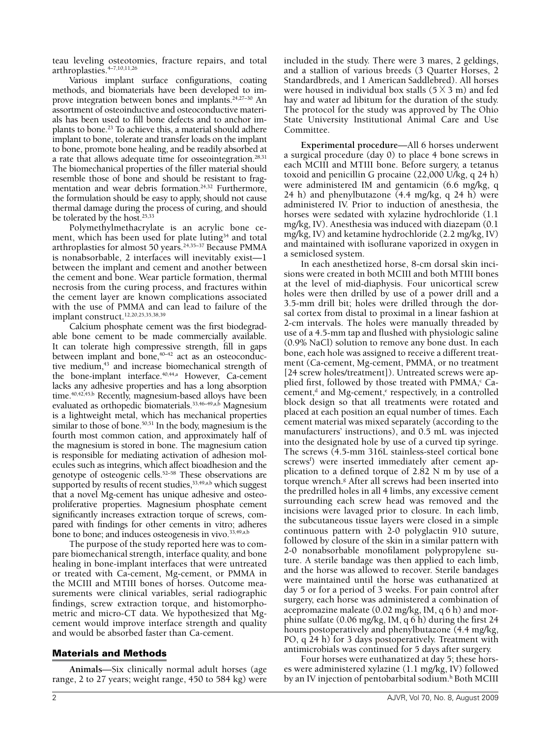teau leveling osteotomies, fracture repairs, and total arthroplasties.4–7,10,11,26

Various implant surface configurations, coating methods, and biomaterials have been developed to improve integration between bones and implants.24,27–30 An assortment of osteoinductive and osteoconductive materials has been used to fill bone defects and to anchor implants to bone.23 To achieve this, a material should adhere implant to bone, tolerate and transfer loads on the implant to bone, promote bone healing, and be readily absorbed at a rate that allows adequate time for osseointegration.<sup>28,31</sup> The biomechanical properties of the filler material should resemble those of bone and should be resistant to fragmentation and wear debris formation.<sup>24,32</sup> Furthermore, the formulation should be easy to apply, should not cause thermal damage during the process of curing, and should be tolerated by the host.<sup>25,33</sup>

Polymethylmethacrylate is an acrylic bone cement, which has been used for plate luting<sup>34</sup> and total arthroplasties for almost 50 years.24,35–37 Because PMMA is nonabsorbable, 2 interfaces will inevitably exist—1 between the implant and cement and another between the cement and bone. Wear particle formation, thermal necrosis from the curing process, and fractures within the cement layer are known complications associated with the use of PMMA and can lead to failure of the implant construct.12,20,25,35,38,39

Calcium phosphate cement was the first biodegradable bone cement to be made commercially available. It can tolerate high compressive strength, fill in gaps between implant and bone,<sup>40-42</sup> act as an osteoconductive medium,<sup>43</sup> and increase biomechanical strength of the bone-implant interface.<sup>40,44,a</sup> However, Ca-cement lacks any adhesive properties and has a long absorption time.<sup>40,42,45,b</sup> Recently, magnesium-based alloys have been evaluated as orthopedic biomaterials.<sup>33,46-49,a,b</sup> Magnesium is a lightweight metal, which has mechanical properties similar to those of bone.<sup>50,51</sup> In the body, magnesium is the fourth most common cation, and approximately half of the magnesium is stored in bone. The magnesium cation is responsible for mediating activation of adhesion molecules such as integrins, which affect bioadhesion and the genotype of osteogenic cells.<sup>52-58</sup> These observations are supported by results of recent studies,<sup>33,49,a,b</sup> which suggest that a novel Mg-cement has unique adhesive and osteoproliferative properties. Magnesium phosphate cement significantly increases extraction torque of screws, compared with findings for other cements in vitro; adheres bone to bone; and induces osteogenesis in vivo.<sup>33,49,a,b</sup>

The purpose of the study reported here was to compare biomechanical strength, interface quality, and bone healing in bone-implant interfaces that were untreated or treated with Ca-cement, Mg-cement, or PMMA in the MCIII and MTIII bones of horses. Outcome measurements were clinical variables, serial radiographic findings, screw extraction torque, and histomorphometric and micro-CT data. We hypothesized that Mgcement would improve interface strength and quality and would be absorbed faster than Ca-cement.

## Materials and Methods

**Animals**—Six clinically normal adult horses (age range, 2 to 27 years; weight range, 450 to 584 kg) were

included in the study. There were 3 mares, 2 geldings, and a stallion of various breeds (3 Quarter Horses, 2 Standardbreds, and 1 American Saddlebred). All horses were housed in individual box stalls  $(5 \times 3 \text{ m})$  and fed hay and water ad libitum for the duration of the study. The protocol for the study was approved by The Ohio State University Institutional Animal Care and Use Committee.

**Experimental procedure**—All 6 horses underwent a surgical procedure (day 0) to place 4 bone screws in each MCIII and MTIII bone. Before surgery, a tetanus toxoid and penicillin G procaine (22,000 U/kg, q 24 h) were administered IM and gentamicin (6.6 mg/kg, q 24 h) and phenylbutazone (4.4 mg/kg, q 24 h) were administered IV. Prior to induction of anesthesia, the horses were sedated with xylazine hydrochloride (1.1 mg/kg, IV). Anesthesia was induced with diazepam (0.1 mg/kg, IV) and ketamine hydrochloride (2.2 mg/kg, IV) and maintained with isoflurane vaporized in oxygen in a semiclosed system.

In each anesthetized horse, 8-cm dorsal skin incisions were created in both MCIII and both MTIII bones at the level of mid-diaphysis. Four unicortical screw holes were then drilled by use of a power drill and a 3.5-mm drill bit; holes were drilled through the dorsal cortex from distal to proximal in a linear fashion at 2-cm intervals. The holes were manually threaded by use of a 4.5-mm tap and flushed with physiologic saline (0.9% NaCl) solution to remove any bone dust. In each bone, each hole was assigned to receive a different treatment (Ca-cement, Mg-cement, PMMA, or no treatment [24 screw holes/treatment]). Untreated screws were applied first, followed by those treated with PMMA,<sup>c</sup> Cacement,<sup>d</sup> and Mg-cement,<sup>e</sup> respectively, in a controlled block design so that all treatments were rotated and placed at each position an equal number of times. Each cement material was mixed separately (according to the manufacturers' instructions), and 0.5 mL was injected into the designated hole by use of a curved tip syringe. The screws (4.5-mm 316L stainless-steel cortical bone screws<sup>f</sup>) were inserted immediately after cement application to a defined torque of 2.82 N m by use of a torque wrench.<sup>g</sup> After all screws had been inserted into the predrilled holes in all 4 limbs, any excessive cement surrounding each screw head was removed and the incisions were lavaged prior to closure. In each limb, the subcutaneous tissue layers were closed in a simple continuous pattern with 2-0 polyglactin 910 suture, followed by closure of the skin in a similar pattern with 2-0 nonabsorbable monofilament polypropylene suture. A sterile bandage was then applied to each limb, and the horse was allowed to recover. Sterile bandages were maintained until the horse was euthanatized at day 5 or for a period of 3 weeks. For pain control after surgery, each horse was administered a combination of acepromazine maleate (0.02 mg/kg, IM, q 6 h) and morphine sulfate (0.06 mg/kg, IM, q 6 h) during the first 24 hours postoperatively and phenylbutazone (4.4 mg/kg, PO, q 24 h) for 3 days postoperatively. Treatment with antimicrobials was continued for 5 days after surgery.

Four horses were euthanatized at day 5; these horses were administered xylazine (1.1 mg/kg, IV) followed by an IV injection of pentobarbital sodium.<sup>h</sup> Both MCIII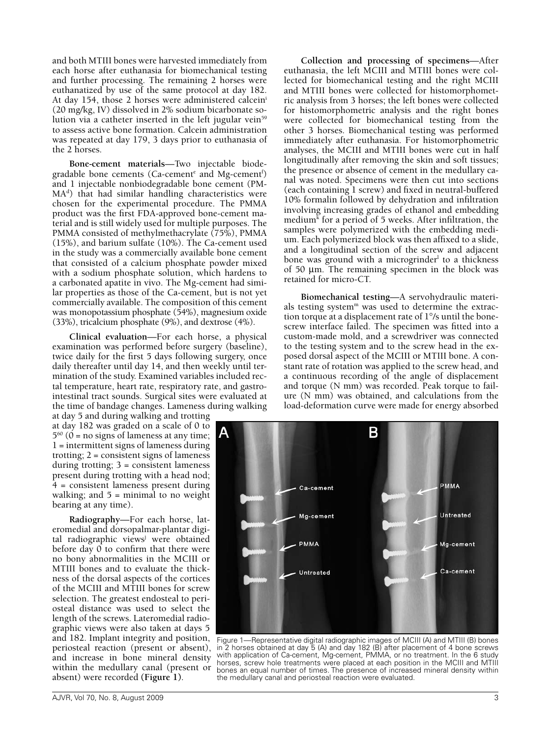and both MTIII bones were harvested immediately from each horse after euthanasia for biomechanical testing and further processing. The remaining 2 horses were euthanatized by use of the same protocol at day 182. At day 154, those 2 horses were administered calceini (20 mg/kg, IV) dissolved in 2% sodium bicarbonate solution via a catheter inserted in the left jugular vein<sup>59</sup> to assess active bone formation. Calcein administration was repeated at day 179, 3 days prior to euthanasia of the 2 horses.

**Bone-cement materials**—Two injectable biodegradable bone cements (Ca-cement<sup>e</sup> and Mg-cement<sup>f</sup>) and 1 injectable nonbiodegradable bone cement (PM-MA<sup>d</sup>) that had similar handling characteristics were chosen for the experimental procedure. The PMMA product was the first FDA-approved bone-cement material and is still widely used for multiple purposes. The PMMA consisted of methylmethacrylate (75%), PMMA (15%), and barium sulfate (10%). The Ca-cement used in the study was a commercially available bone cement that consisted of a calcium phosphate powder mixed with a sodium phosphate solution, which hardens to a carbonated apatite in vivo. The Mg-cement had similar properties as those of the Ca-cement, but is not yet commercially available. The composition of this cement was monopotassium phosphate (54%), magnesium oxide (33%), tricalcium phosphate (9%), and dextrose (4%).

**Clinical evaluation**—For each horse, a physical examination was performed before surgery (baseline), twice daily for the first 5 days following surgery, once daily thereafter until day 14, and then weekly until termination of the study. Examined variables included rectal temperature, heart rate, respiratory rate, and gastrointestinal tract sounds. Surgical sites were evaluated at the time of bandage changes. Lameness during walking

at day 5 and during walking and trotting at day 182 was graded on a scale of 0 to  $5^{60}$  ( $0 =$  no signs of lameness at any time; 1 = intermittent signs of lameness during trotting; 2 = consistent signs of lameness during trotting; 3 = consistent lameness present during trotting with a head nod; 4 = consistent lameness present during walking; and  $5 =$  minimal to no weight bearing at any time).

**Radiography**—For each horse, lateromedial and dorsopalmar-plantar digital radiographic views<sup>j</sup> were obtained before day 0 to confirm that there were no bony abnormalities in the MCIII or MTIII bones and to evaluate the thickness of the dorsal aspects of the cortices of the MCIII and MTIII bones for screw selection. The greatest endosteal to periosteal distance was used to select the length of the screws. Lateromedial radiographic views were also taken at days 5 and 182. Implant integrity and position, periosteal reaction (present or absent), and increase in bone mineral density within the medullary canal (present or absent) were recorded **(Figure 1)**.

**Collection and processing of specimens**—After euthanasia, the left MCIII and MTIII bones were collected for biomechanical testing and the right MCIII and MTIII bones were collected for histomorphometric analysis from 3 horses; the left bones were collected for histomorphometric analysis and the right bones were collected for biomechanical testing from the other 3 horses. Biomechanical testing was performed immediately after euthanasia. For histomorphometric analyses, the MCIII and MTIII bones were cut in half longitudinally after removing the skin and soft tissues; the presence or absence of cement in the medullary canal was noted. Specimens were then cut into sections (each containing 1 screw) and fixed in neutral-buffered 10% formalin followed by dehydration and infiltration involving increasing grades of ethanol and embedding medium<sup>k</sup> for a period of 5 weeks. After infiltration, the samples were polymerized with the embedding medium. Each polymerized block was then affixed to a slide, and a longitudinal section of the screw and adjacent bone was ground with a microgrinder<sup>1</sup> to a thickness of 50 µm. The remaining specimen in the block was retained for micro-CT.

**Biomechanical testing**—A servohydraulic materials testing systemm was used to determine the extraction torque at a displacement rate of 1°/s until the bonescrew interface failed. The specimen was fitted into a custom-made mold, and a screwdriver was connected to the testing system and to the screw head in the exposed dorsal aspect of the MCIII or MTIII bone. A constant rate of rotation was applied to the screw head, and a continuous recording of the angle of displacement and torque (N mm) was recorded. Peak torque to failure (N mm) was obtained, and calculations from the load-deformation curve were made for energy absorbed



Figure 1—Representative digital radiographic images of MCIII (A) and MTIII (B) bones in 2 horses obtained at day 5 (A) and day 182 (B) after placement of 4 bone screws with application of Ca-cement, Mg-cement, PMMA, or no treatment. In the 6 study horses, screw hole treatments were placed at each position in the MCIII and MTIII bones an equal number of times. The presence of increased mineral density within the medullary canal and periosteal reaction were evaluated.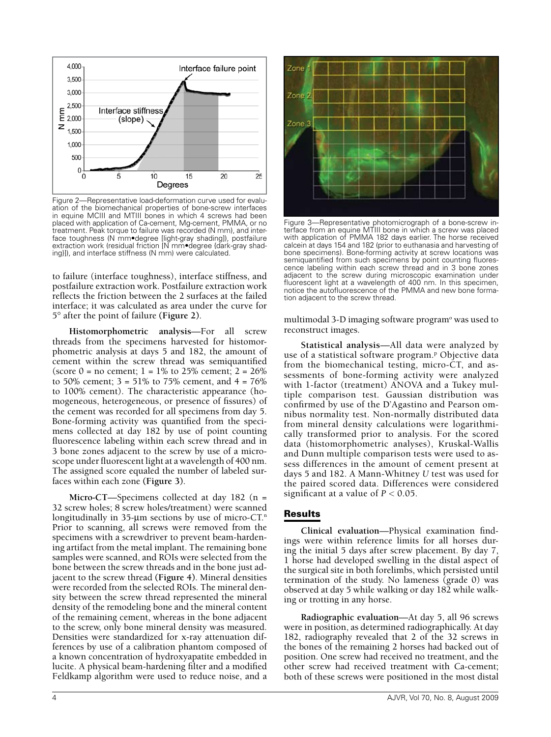

Figure 2—Representative load-deformation curve used for evaluation of the biomechanical properties of bone-screw interfaces in equine MCIII and MTIII bones in which 4 screws had been placed with application of Ca-cement, Mg-cement, PMMA, or no treatment. Peak torque to failure was recorded (N mm), and interface toughness (N mm•degree [light-gray shading]), postfailure extraction work (residual friction [N mm•degree {dark-gray shading}]), and interface stiffness (N mm) were calculated.

to failure (interface toughness), interface stiffness, and postfailure extraction work. Postfailure extraction work reflects the friction between the 2 surfaces at the failed interface; it was calculated as area under the curve for 5° after the point of failure **(Figure 2)**.

**Histomorphometric analysis**—For all screw threads from the specimens harvested for histomorphometric analysis at days 5 and 182, the amount of cement within the screw thread was semiquantified (score  $0 =$  no cement;  $1 = 1\%$  to 25% cement;  $2 = 26\%$ to 50% cement;  $3 = 51\%$  to 75% cement, and  $4 = 76\%$ to 100% cement). The characteristic appearance (homogeneous, heterogeneous, or presence of fissures) of the cement was recorded for all specimens from day 5. Bone-forming activity was quantified from the specimens collected at day 182 by use of point counting fluorescence labeling within each screw thread and in 3 bone zones adjacent to the screw by use of a microscope under fluorescent light at a wavelength of 400 nm. The assigned score equaled the number of labeled surfaces within each zone **(Figure 3)**.

**Micro-CT**—Specimens collected at day 182 (n = 32 screw holes; 8 screw holes/treatment) were scanned longitudinally in 35-µm sections by use of micro-CT.<sup>n</sup> Prior to scanning, all screws were removed from the specimens with a screwdriver to prevent beam-hardening artifact from the metal implant. The remaining bone samples were scanned, and ROIs were selected from the bone between the screw threads and in the bone just adjacent to the screw thread **(Figure 4)**. Mineral densities were recorded from the selected ROIs. The mineral density between the screw thread represented the mineral density of the remodeling bone and the mineral content of the remaining cement, whereas in the bone adjacent to the screw, only bone mineral density was measured. Densities were standardized for x-ray attenuation differences by use of a calibration phantom composed of a known concentration of hydroxyapatite embedded in lucite. A physical beam-hardening filter and a modified Feldkamp algorithm were used to reduce noise, and a



Figure 3—Representative photomicrograph of a bone-screw interface from an equine MTIII bone in which a screw was placed with application of PMMA 182 days earlier. The horse received calcein at days 154 and 182 (prior to euthanasia and harvesting of bone specimens). Bone-forming activity at screw locations was semiquantified from such specimens by point counting fluorescence labeling within each screw thread and in 3 bone zones adjacent to the screw during microscopic examination under fluorescent light at a wavelength of 400 nm. In this specimen, notice the autofluorescence of the PMMA and new bone formation adjacent to the screw thread.

multimodal 3-D imaging software program<sup>o</sup> was used to reconstruct images.

**Statistical analysis**—All data were analyzed by use of a statistical software program.<sup>p</sup> Objective data from the biomechanical testing, micro-CT, and assessments of bone-forming activity were analyzed with 1-factor (treatment) ANOVA and a Tukey multiple comparison test. Gaussian distribution was confirmed by use of the D'Agastino and Pearson omnibus normality test. Non-normally distributed data from mineral density calculations were logarithmically transformed prior to analysis. For the scored data (histomorphometric analyses), Kruskal-Wallis and Dunn multiple comparison tests were used to assess differences in the amount of cement present at days 5 and 182. A Mann-Whitney *U* test was used for the paired scored data. Differences were considered significant at a value of  $P < 0.05$ .

## Results

**Clinical evaluation**—Physical examination findings were within reference limits for all horses during the initial 5 days after screw placement. By day 7, 1 horse had developed swelling in the distal aspect of the surgical site in both forelimbs, which persisted until termination of the study. No lameness (grade 0) was observed at day 5 while walking or day 182 while walking or trotting in any horse.

**Radiographic evaluation**—At day 5, all 96 screws were in position, as determined radiographically. At day 182, radiography revealed that 2 of the 32 screws in the bones of the remaining 2 horses had backed out of position. One screw had received no treatment, and the other screw had received treatment with Ca-cement; both of these screws were positioned in the most distal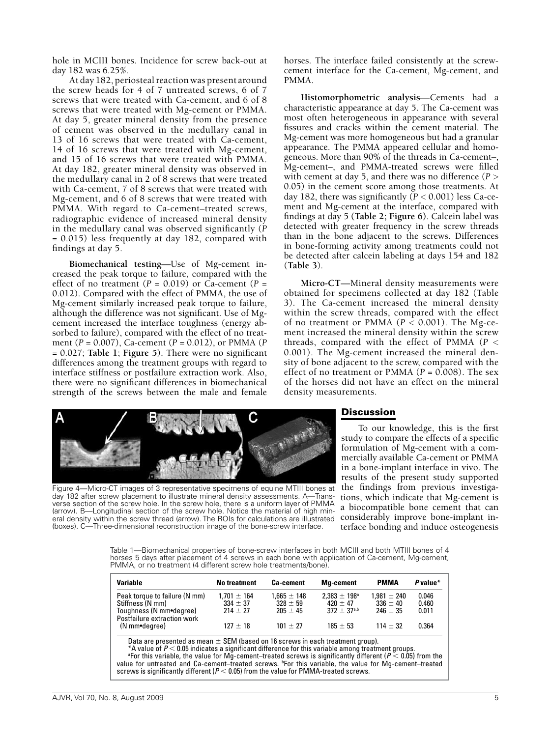hole in MCIII bones. Incidence for screw back-out at day 182 was 6.25*%*.

At day 182, periosteal reaction was present around the screw heads for 4 of 7 untreated screws, 6 of 7 screws that were treated with Ca-cement, and 6 of 8 screws that were treated with Mg-cement or PMMA. At day 5, greater mineral density from the presence of cement was observed in the medullary canal in 13 of 16 screws that were treated with Ca-cement, 14 of 16 screws that were treated with Mg-cement, and 15 of 16 screws that were treated with PMMA. At day 182, greater mineral density was observed in the medullary canal in 2 of 8 screws that were treated with Ca-cement, 7 of 8 screws that were treated with Mg-cement, and 6 of 8 screws that were treated with PMMA. With regard to Ca-cement–treated screws, radiographic evidence of increased mineral density in the medullary canal was observed significantly (*P =* 0.015) less frequently at day 182, compared with findings at day 5.

**Biomechanical testing**—Use of Mg-cement increased the peak torque to failure, compared with the effect of no treatment  $(P = 0.019)$  or Ca-cement  $(P =$ 0.012). Compared with the effect of PMMA, the use of Mg-cement similarly increased peak torque to failure, although the difference was not significant. Use of Mgcement increased the interface toughness (energy absorbed to failure), compared with the effect of no treatment (*P* = 0.007), Ca-cement (*P* = 0.012), or PMMA (*P* = 0.027; **Table 1**; **Figure 5**). There were no significant differences among the treatment groups with regard to interface stiffness or postfailure extraction work. Also, there were no significant differences in biomechanical strength of the screws between the male and female horses. The interface failed consistently at the screwcement interface for the Ca-cement, Mg-cement, and PMMA.

**Histomorphometric analysis**—Cements had a characteristic appearance at day 5. The Ca-cement was most often heterogeneous in appearance with several fissures and cracks within the cement material. The Mg-cement was more homogeneous but had a granular appearance. The PMMA appeared cellular and homogeneous. More than 90% of the threads in Ca-cement–, Mg-cement–, and PMMA-treated screws were filled with cement at day 5, and there was no difference (*P* > 0.05) in the cement score among those treatments. At day 182, there was significantly (*P* < 0.001) less Ca-cement and Mg-cement at the interface, compared with findings at day 5 **(Table 2; Figure 6)**. Calcein label was detected with greater frequency in the screw threads than in the bone adjacent to the screws. Differences in bone-forming activity among treatments could not be detected after calcein labeling at days 154 and 182 (**Table 3**).

**Micro-CT**—Mineral density measurements were obtained for specimens collected at day 182 (Table 3). The Ca-cement increased the mineral density within the screw threads, compared with the effect of no treatment or PMMA ( $P \le 0.001$ ). The Mg-cement increased the mineral density within the screw threads, compared with the effect of PMMA (*P* < 0.001). The Mg-cement increased the mineral density of bone adjacent to the screw, compared with the effect of no treatment or PMMA ( $P = 0.008$ ). The sex of the horses did not have an effect on the mineral density measurements.



Figure 4—Micro-CT images of 3 representative specimens of equine MTIII bones at day 182 after screw placement to illustrate mineral density assessments. A—Trans-verse section of the screw hole. In the screw hole, there is a uniform layer of PMMA (arrow). B—Longitudinal section of the screw hole. Notice the material of high mineral density within the screw thread (arrow). The ROIs for calculations are illustrated (boxes). C—Three-dimensional reconstruction image of the bone-screw interface.

#### Discussion

To our knowledge, this is the first study to compare the effects of a specific formulation of Mg-cement with a commercially available Ca-cement or PMMA in a bone-implant interface in vivo. The results of the present study supported the findings from previous investigations, which indicate that Mg-cement is a biocompatible bone cement that can considerably improve bone-implant interface bonding and induce osteogenesis

Table 1—Biomechanical properties of bone-screw interfaces in both MCIII and both MTIII bones of 4 horses 5 days after placement of 4 screws in each bone with application of Ca-cement, Mg-cement, PMMA, or no treatment (4 different screw hole treatments/bone).

| Variable                                                                                                    | <b>No treatment</b>                           | <b>Ca-cement</b>                              | Mg-cement                                                 | <b>PMMA</b>                                   | P value*                |
|-------------------------------------------------------------------------------------------------------------|-----------------------------------------------|-----------------------------------------------|-----------------------------------------------------------|-----------------------------------------------|-------------------------|
| Peak torque to failure (N mm)<br>Stiffness (N mm)<br>Toughness (N mm•degree)<br>Postfailure extraction work | $1.701 \pm 164$<br>$334 \pm 37$<br>$214 + 27$ | $1.665 \pm 148$<br>$328 \pm 59$<br>$205 + 45$ | $2,383 \pm 198^{\circ}$<br>$420 + 47$<br>$372 + 37^{a,b}$ | $1.981 \pm 240$<br>$336 \pm 40$<br>$246 + 35$ | 0.046<br>0.460<br>0.011 |
| (N mm•degree)                                                                                               | $127 + 18$                                    | $101 + 27$                                    | $185 + 53$                                                | $114 + 32$                                    | 0.364                   |

Data are presented as mean  $\pm$  SEM (based on 16 screws in each treatment group).

 $*$ A value of *P* < 0.05 indicates a significant difference for this variable among treatment groups.<br><sup>apor</sup> this variable, the value for Mo-cement-treated screws is significantly different (*P <* 0.05) <sup>a</sup>For this variable, the value for Mg-cement–treated screws is significantly different ( $P \le 0.05$ ) from the value for untreated and Ca-cement-treated screws. <sup>b</sup>For this variable, the value for Mg-cement-treated screws is significantly different  $(P < 0.05)$  from the value for PMMA-treated screws.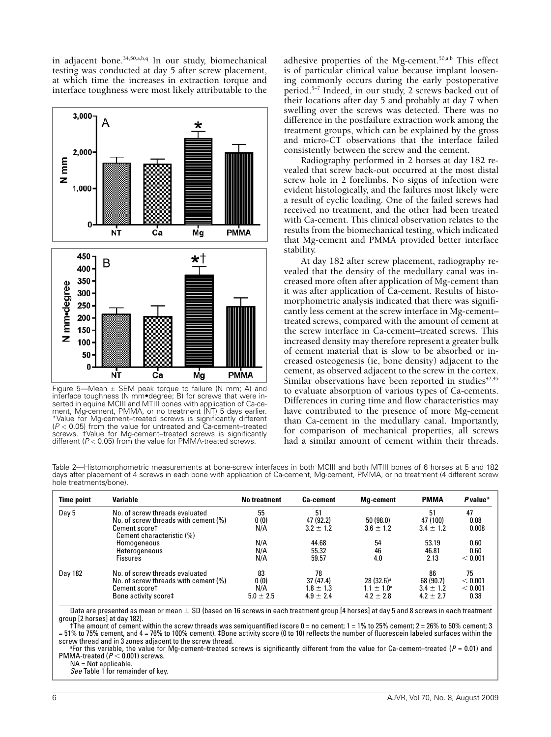in adjacent bone.34,50,a,b,q In our study, biomechanical testing was conducted at day 5 after screw placement, at which time the increases in extraction torque and interface toughness were most likely attributable to the



Figure 5—Mean  $\pm$  SEM peak torque to failure (N mm; A) and interface toughness (N mm•degree; B) for screws that were inserted in equine MCIII and MTIII bones with application of Ca-cement, Mg-cement, PMMA, or no treatment (NT) 5 days earlier. \*Value for Mg-cement–treated screws is significantly different (*P* < 0.05) from the value for untreated and Ca-cement–treated screws. †Value for Mg-cement–treated screws is significantly different ( $P < 0.05$ ) from the value for PMMA-treated screws.

adhesive properties of the Mg-cement.<sup>50,a,b</sup> This effect is of particular clinical value because implant loosening commonly occurs during the early postoperative period.5–7 Indeed, in our study, 2 screws backed out of their locations after day 5 and probably at day 7 when swelling over the screws was detected. There was no difference in the postfailure extraction work among the treatment groups, which can be explained by the gross and micro-CT observations that the interface failed consistently between the screw and the cement.

Radiography performed in 2 horses at day 182 revealed that screw back-out occurred at the most distal screw hole in 2 forelimbs. No signs of infection were evident histologically, and the failures most likely were a result of cyclic loading. One of the failed screws had received no treatment, and the other had been treated with Ca-cement. This clinical observation relates to the results from the biomechanical testing, which indicated that Mg-cement and PMMA provided better interface stability.

At day 182 after screw placement, radiography revealed that the density of the medullary canal was increased more often after application of Mg-cement than it was after application of Ca-cement. Results of histomorphometric analysis indicated that there was significantly less cement at the screw interface in Mg-cement– treated screws, compared with the amount of cement at the screw interface in Ca-cement–treated screws. This increased density may therefore represent a greater bulk of cement material that is slow to be absorbed or increased osteogenesis (ie, bone density) adjacent to the cement, as observed adjacent to the screw in the cortex. Similar observations have been reported in studies $42,45$ to evaluate absorption of various types of Ca-cements. Differences in curing time and flow characteristics may have contributed to the presence of more Mg-cement than Ca-cement in the medullary canal. Importantly, for comparison of mechanical properties, all screws had a similar amount of cement within their threads.

Table 2—Histomorphometric measurements at bone-screw interfaces in both MCIII and both MTIII bones of 6 horses at 5 and 182 days after placement of 4 screws in each bone with application of Ca-cement, Mg-cement, PMMA, or no treatment (4 different screw hole treatments/bone).

| <b>Time point</b> | <b>Variable</b>                                                                                                      | <b>No treatment</b>                | <b>Ca-cement</b>                                  | Mg-cement                                              | <b>PMMA</b>                                   | P value*                         |
|-------------------|----------------------------------------------------------------------------------------------------------------------|------------------------------------|---------------------------------------------------|--------------------------------------------------------|-----------------------------------------------|----------------------------------|
| Day 5             | No. of screw threads evaluated<br>No. of screw threads with cement (%)<br>Cement score†<br>Cement characteristic (%) | 55<br>0(0)<br>N/A                  | 51<br>47 (92.2)<br>$3.2 \pm 1.2$                  | 50(98.0)<br>$3.6 \pm 1.2$                              | 51<br>47 (100)<br>$3.4 \pm 1.2$               | 47<br>0.08<br>0.008              |
|                   | Homogeneous<br>Heterogeneous<br><b>Fissures</b>                                                                      | N/A<br>N/A<br>N/A                  | 44.68<br>55.32<br>59.57                           | 54<br>46<br>4.0                                        | 53.19<br>46.81<br>2.13                        | 0.60<br>0.60<br>< 0.001          |
| Day 182           | No. of screw threads evaluated<br>No. of screw threads with cement (%)<br>Cement score†<br>Bone activity score‡      | 83<br>0(0)<br>N/A<br>$5.0 \pm 2.5$ | 78<br>37 (47.4)<br>$1.8 \pm 1.3$<br>$4.9 \pm 2.4$ | $28(32.6)^a$<br>$1.1 \pm 1.0^{\circ}$<br>$4.2 \pm 2.8$ | 86<br>68 (90.7)<br>$3.4 \pm 1.2$<br>$42 + 27$ | 75<br>< 0.001<br>< 0.001<br>0.38 |

Data are presented as mean or mean  $\pm$  SD (based on 16 screws in each treatment group [4 horses] at day 5 and 8 screws in each treatment group [2 horses] at day 182).

 $t$ The amount of cement within the screw threads was semiquantified (score 0 = no cement; 1 = 1% to 25% cement; 2 = 26% to 50% cement; 3 = 51% to 75% cement, and 4 = 76% to 100% cement). ‡Bone activity score (0 to 10) reflects the number of fluorescein labeled surfaces within the screw thread and in 3 zones adjacent to the screw thread.

For this variable, the value for Mg-cement–treated screws is significantly different from the value for Ca-cement–treated (*P* = 0.01) and  $PMMA-treated (P < 0.001)$  screws.

NA = Not applicable.

*See* Table 1 for remainder of key.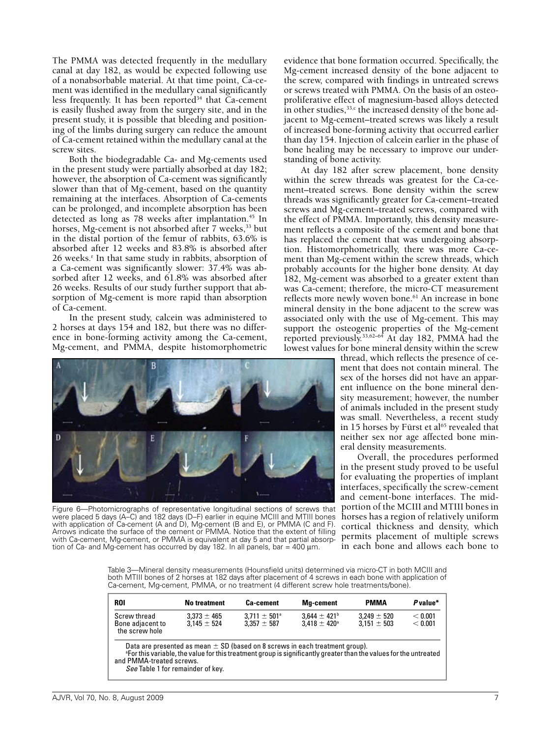The PMMA was detected frequently in the medullary canal at day 182, as would be expected following use of a nonabsorbable material. At that time point, Ca-cement was identified in the medullary canal significantly less frequently. It has been reported<sup>34</sup> that  $\bar{C}a$ -cement is easily flushed away from the surgery site, and in the present study, it is possible that bleeding and positioning of the limbs during surgery can reduce the amount of Ca-cement retained within the medullary canal at the screw sites.

Both the biodegradable Ca- and Mg-cements used in the present study were partially absorbed at day 182; however, the absorption of Ca-cement was significantly slower than that of Mg-cement, based on the quantity remaining at the interfaces. Absorption of Ca-cements can be prolonged, and incomplete absorption has been detected as long as 78 weeks after implantation.<sup>45</sup> In horses, Mg-cement is not absorbed after 7 weeks,<sup>33</sup> but in the distal portion of the femur of rabbits, 63.6% is absorbed after 12 weeks and 83.8% is absorbed after 26 weeks.<sup>r</sup> In that same study in rabbits, absorption of a Ca-cement was significantly slower: 37.4% was absorbed after 12 weeks, and 61.8% was absorbed after 26 weeks. Results of our study further support that absorption of Mg-cement is more rapid than absorption of Ca-cement.

In the present study, calcein was administered to 2 horses at days 154 and 182, but there was no difference in bone-forming activity among the Ca-cement, Mg-cement, and PMMA, despite histomorphometric



Figure 6—Photomicrographs of representative longitudinal sections of screws that were placed 5 days (A–C) and 182 days (D–F) earlier in equine MCIII and MTIII bones with application of Ca-cement (A and D), Mg-cement (B and E), or PMMA (C and F). Arrows indicate the surface of the cement or PMMA. Notice that the extent of filling with Ca-cement, Mg-cement, or PMMA is equivalent at day 5 and that partial absorption of Ca- and Mg-cement has occurred by day 182. In all panels, bar = 400  $\mu$ m.

evidence that bone formation occurred. Specifically, the Mg-cement increased density of the bone adjacent to the screw, compared with findings in untreated screws or screws treated with PMMA. On the basis of an osteoproliferative effect of magnesium-based alloys detected in other studies,  $33,c$  the increased density of the bone adjacent to Mg-cement–treated screws was likely a result of increased bone-forming activity that occurred earlier than day 154. Injection of calcein earlier in the phase of bone healing may be necessary to improve our understanding of bone activity.

At day 182 after screw placement, bone density within the screw threads was greatest for the Ca-cement–treated screws. Bone density within the screw threads was significantly greater for Ca-cement–treated screws and Mg-cement–treated screws, compared with the effect of PMMA. Importantly, this density measurement reflects a composite of the cement and bone that has replaced the cement that was undergoing absorption. Histomorphometrically, there was more Ca-cement than Mg-cement within the screw threads, which probably accounts for the higher bone density. At day 182, Mg-cement was absorbed to a greater extent than was Ca-cement; therefore, the micro-CT measurement reflects more newly woven bone.<sup>61</sup> An increase in bone mineral density in the bone adjacent to the screw was associated only with the use of Mg-cement. This may support the osteogenic properties of the Mg-cement reported previously.<sup>33,62–64</sup> At day 182, PMMA had the lowest values for bone mineral density within the screw

thread, which reflects the presence of cement that does not contain mineral. The sex of the horses did not have an apparent influence on the bone mineral density measurement; however, the number of animals included in the present study was small. Nevertheless, a recent study in 15 horses by Fürst et al<sup>65</sup> revealed that neither sex nor age affected bone mineral density measurements.

Overall, the procedures performed in the present study proved to be useful for evaluating the properties of implant interfaces, specifically the screw-cement and cement-bone interfaces. The midportion of the MCIII and MTIII bones in horses has a region of relatively uniform cortical thickness and density, which permits placement of multiple screws in each bone and allows each bone to

Table 3—Mineral density measurements (Hounsfield units) determined via micro-CT in both MCIII and both MTIII bones of 2 horses at 182 days after placement of 4 screws in each bone with application of Ca-cement, Mg-cement, PMMA, or no treatment (4 different screw hole treatments/bone).

| <b>ROI</b>                                                                                                                                                                                                                                                                         | <b>No treatment</b>                | <b>Ca-cement</b>                           | <b>Mg-cement</b>                                   | <b>PMMA</b>                        | P value*           |  |  |
|------------------------------------------------------------------------------------------------------------------------------------------------------------------------------------------------------------------------------------------------------------------------------------|------------------------------------|--------------------------------------------|----------------------------------------------------|------------------------------------|--------------------|--|--|
| Screw thread<br>Bone adjacent to<br>the screw hole                                                                                                                                                                                                                                 | $3.373 \pm 465$<br>$3.145 \pm 524$ | $3.711 \pm 501^{\circ}$<br>$3.357 \pm 587$ | $3.644 \pm 421^{\circ}$<br>$3.418 \pm 420^{\circ}$ | $3.249 \pm 520$<br>$3.151 \pm 503$ | < 0.001<br>< 0.001 |  |  |
| Data are presented as mean $\pm$ SD (based on 8 screws in each treatment group).<br><sup>a</sup> For this variable, the value for this treatment group is significantly greater than the values for the untreated<br>and PMMA-treated screws.<br>See Table 1 for remainder of key. |                                    |                                            |                                                    |                                    |                    |  |  |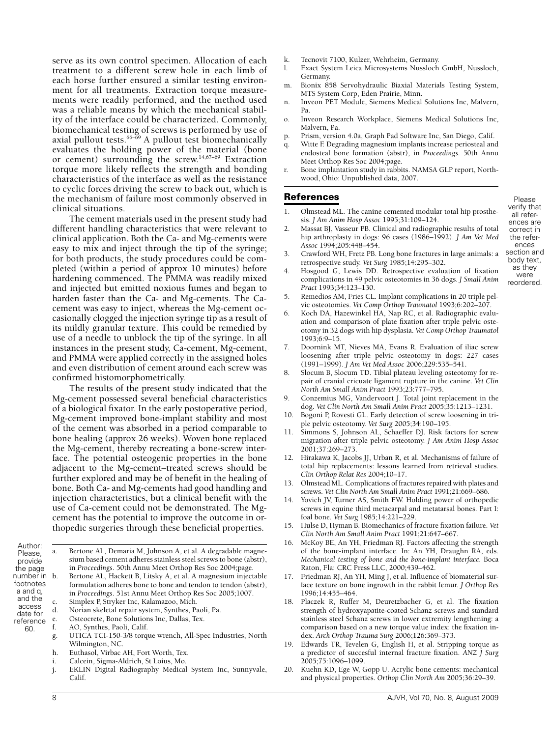serve as its own control specimen. Allocation of each treatment to a different screw hole in each limb of each horse further ensured a similar testing environment for all treatments. Extraction torque measurements were readily performed, and the method used was a reliable means by which the mechanical stability of the interface could be characterized. Commonly, biomechanical testing of screws is performed by use of axial pullout tests.<sup>66–69</sup> A pullout test biomechanically evaluates the holding power of the material (bone or cement) surrounding the screw.14,67–69 Extraction torque more likely reflects the strength and bonding characteristics of the interface as well as the resistance to cyclic forces driving the screw to back out, which is the mechanism of failure most commonly observed in clinical situations.

The cement materials used in the present study had different handling characteristics that were relevant to clinical application. Both the Ca- and Mg-cements were easy to mix and inject through the tip of the syringe; for both products, the study procedures could be completed (within a period of approx 10 minutes) before hardening commenced. The PMMA was readily mixed and injected but emitted noxious fumes and began to harden faster than the Ca- and Mg-cements. The Cacement was easy to inject, whereas the Mg-cement occasionally clogged the injection syringe tip as a result of its mildly granular texture. This could be remedied by use of a needle to unblock the tip of the syringe. In all instances in the present study, Ca-cement, Mg-cement, and PMMA were applied correctly in the assigned holes and even distribution of cement around each screw was confirmed histomorphometrically.

The results of the present study indicated that the Mg-cement possessed several beneficial characteristics of a biological fixator. In the early postoperative period, Mg-cement improved bone-implant stability and most of the cement was absorbed in a period comparable to bone healing (approx 26 weeks). Woven bone replaced the Mg-cement, thereby recreating a bone-screw interface. The potential osteogenic properties in the bone adjacent to the Mg-cement–treated screws should be further explored and may be of benefit in the healing of bone. Both Ca- and Mg-cements had good handling and injection characteristics, but a clinical benefit with the use of Ca-cement could not be demonstrated. The Mgcement has the potential to improve the outcome in orthopedic surgeries through these beneficial properties.

- Author: Please, provide the page number in footnotes a and q, and the access date for reference 60.
	- a. Bertone AL, Demaria M, Johnson A, et al. A degradable magnesium based cement adheres stainless steel screws to bone (abstr), in *Proceedings*. 50th Annu Meet Orthop Res Soc 2004;page.
	- b. Bertone AL, Hackett B, Litsky A, et al. A magnesium injectable formulation adheres bone to bone and tendon to tendon (abstr), in *Proceedings*. 51st Annu Meet Orthop Res Soc 2005;1007.
	- c. Simplex P, Stryker Inc, Kalamazoo, Mich.
	- d. Norian skeletal repair system, Synthes, Paoli, Pa. e. Osteocrete, Bone Solutions Inc, Dallas, Tex.
	- f. AO, Synthes, Paoli, Calif.
	- g. UTICA TCI-150-3/8 torque wrench, All-Spec Industries, North Wilmington, NC.
	- h. Euthasol, Virbac AH, Fort Worth, Tex.
	- i. Calcein, Sigma-Aldrich, St Loius, Mo.
	- j. EKLIN Digital Radiography Medical System Inc, Sunnyvale, Calif.
- k. Tecnovit 7100, Kulzer, Wehrheim, Germany.
- l. Exact System Leica Microsystems Nussloch GmbH, Nussloch, Germany.
- m. Bionix 858 Servohydraulic Biaxial Materials Testing System, MTS System Corp, Eden Prairie, Minn.
- n. Inveon PET Module, Siemens Medical Solutions Inc, Malvern, Pa.
- o. Inveon Research Workplace, Siemens Medical Solutions Inc, Malvern, Pa.
- p. Prism, version 4.0a, Graph Pad Software Inc, San Diego, Calif.
- q. Witte F. Degrading magnesium implants increase periosteal and endosteal bone formation (abstr), in *Proceedings*. 50th Annu Meet Orthop Res Soc 2004;page.
- r. Bone implantation study in rabbits. NAMSA GLP report, Northwood, Ohio: Unpublished data, 2007.

### References

- 1. Olmstead ML. The canine cemented modular total hip prosthesis. *J Am Anim Hosp Assoc* 1995;31:109–124.
- 2. Massat BJ, Vasseur PB. Clinical and radiographic results of total hip arthroplasty in dogs: 96 cases (1986–1992). *J Am Vet Med Assoc* 1994;205:448–454.
- 3. Crawford WH, Fretz PB. Long bone fractures in large animals: a retrospective study. *Vet Surg* 1985;14:295–302.
- 4. Hosgood G, Lewis DD. Retrospective evaluation of fixation complications in 49 pelvic osteotomies in 36 dogs. *J Small Anim Pract* 1993;34:123–130.
- 5. Remedios AM, Fries CL. Implant complications in 20 triple pelvic osteotomies. *Vet Comp Orthop Traumatol* 1993;6:202–207.
- 6. Koch DA, Hazewinkel HA, Nap RC, et al. Radiographic evaluation and comparison of plate fixation after triple pelvic osteotomy in 32 dogs with hip dysplasia. *Vet Comp Orthop Traumatol* 1993;6:9–15.
- 7. Doornink MT, Nieves MA, Evans R. Evaluation of iliac screw loosening after triple pelvic osteotomy in dogs: 227 cases (1991–1999). *J Am Vet Med Assoc* 2006;229:535–541.
- 8. Slocum B, Slocum TD. Tibial plateau leveling osteotomy for repair of cranial cricuate ligament rupture in the canine. *Vet Clin North Am Small Anim Pract* 1993;23:777–795.
- 9. Conzemius MG, Vandervoort J. Total joint replacement in the dog. *Vet Clin North Am Small Anim Pract* 2005;35:1213–1231.
- Bogoni P, Rovesti GL. Early detection of screw loosening in triple pelvic osteotomy. *Vet Surg* 2005;34:190–195.
- 11. Simmons S, Johnson AL, Schaeffer DJ. Risk factors for screw migration after triple pelvic osteotomy. *J Am Anim Hosp Assoc* 2001;37:269–273.
- 12. Hirakawa K, Jacobs JJ, Urban R, et al. Mechanisms of failure of total hip replacements: lessons learned from retrieval studies. *Clin Orthop Relat Res* 2004;10–17.
- 13. Olmstead ML. Complications of fractures repaired with plates and screws. *Vet Clin North Am Small Anim Pract* 1991;21:669–686.
- 14. Yovich JV, Turner AS, Smith FW. Holding power of orthopedic screws in equine third metacarpal and metatarsal bones. Part I: foal bone. *Vet Surg* 1985;14:221–229.
- 15. Hulse D, Hyman B. Biomechanics of fracture fixation failure. *Vet Clin North Am Small Anim Pract* 1991;21:647–667.
- 16. McKoy BE, An YH, Friedman RJ. Factors affecting the strength of the bone-implant interface. In: An YH, Draughn RA, eds. *Mechanical testing of bone and the bone-implant interface.* Boca Raton, Fla: CRC Press LLC, 2000;439–462.
- 17. Friedman RJ, An YH, Ming J, et al. Influence of biomaterial surface texture on bone ingrowth in the rabbit femur. *J Orthop Res* 1996;14:455–464.
- Placzek R, Ruffer M, Deuretzbacher G, et al. The fixation strength of hydroxyapatite-coated Schanz screws and standard stainless steel Schanz screws in lower extremity lengthening: a comparison based on a new torque value index: the fixation index. *Arch Orthop Trauma Surg* 2006;126:369–373.
- 19. Edwards TR, Tevelen G, English H, et al. Stripping torque as a predictor of succesful internal fracture fixation. *ANZ J Surg* 2005;75:1096–1099.
- 20. Kuehn KD, Ege W, Gopp U. Acrylic bone cements: mechanical and physical properties. *Orthop Clin North Am* 2005;36:29–39.

Please verify that all references are correct in the references section and body text, as they

were reordered.